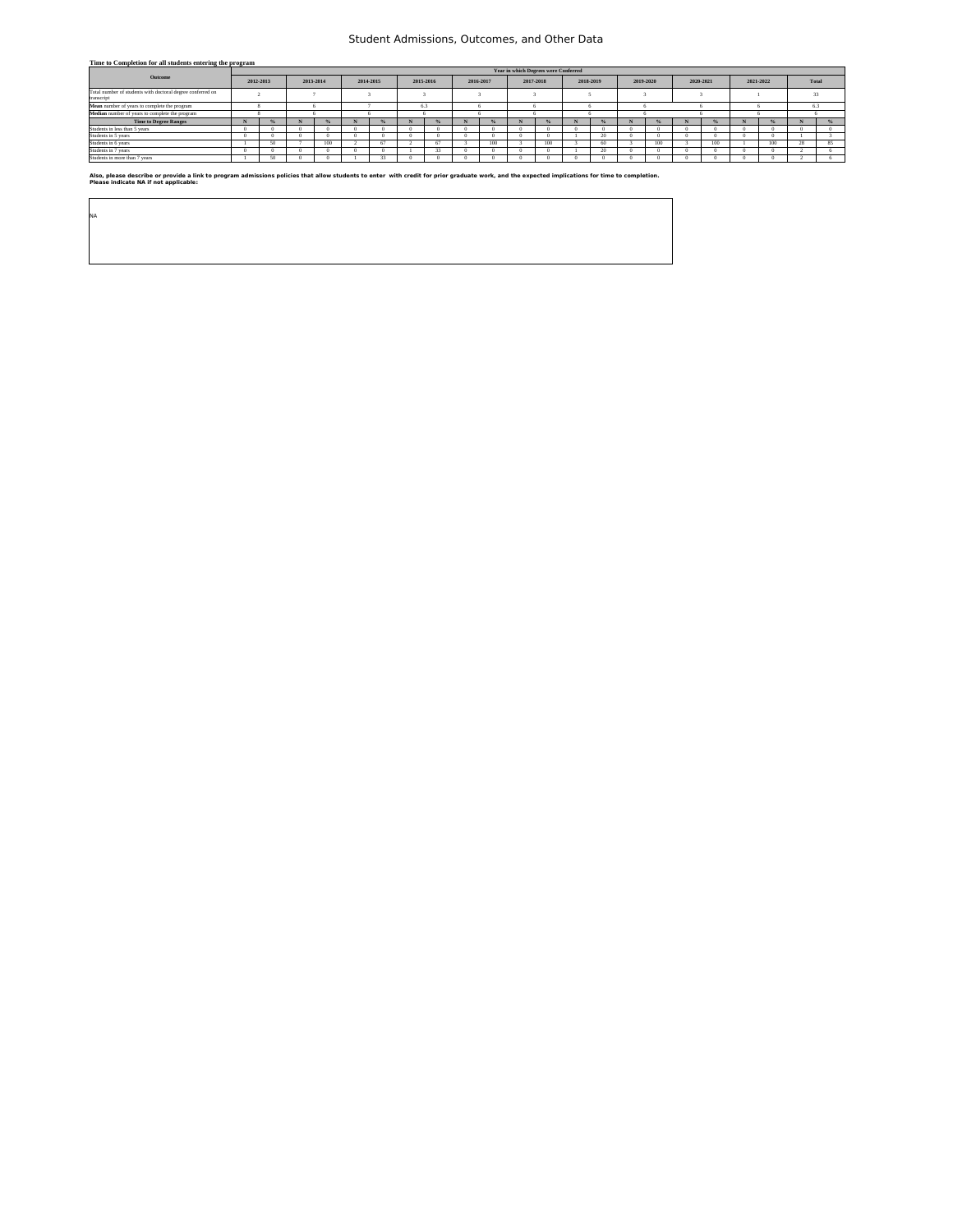### Student Admissions, Outcomes, and Other Data

| Time to Completion for all students entering the program                 |   |                                      |  |           |   |                        |     |    |           |     |           |     |           |        |           |           |  |           |  |       |     |    |  |  |  |  |  |  |  |  |  |  |  |  |  |  |  |  |  |  |  |  |    |  |
|--------------------------------------------------------------------------|---|--------------------------------------|--|-----------|---|------------------------|-----|----|-----------|-----|-----------|-----|-----------|--------|-----------|-----------|--|-----------|--|-------|-----|----|--|--|--|--|--|--|--|--|--|--|--|--|--|--|--|--|--|--|--|--|----|--|
|                                                                          |   | Year in which Degrees were Conferred |  |           |   |                        |     |    |           |     |           |     |           |        |           |           |  |           |  |       |     |    |  |  |  |  |  |  |  |  |  |  |  |  |  |  |  |  |  |  |  |  |    |  |
| Outcome                                                                  |   | 2012-2013                            |  | 2013-2014 |   | 2014-2015<br>2015-2016 |     |    | 2016-2017 |     | 2017-2018 |     | 2018-2019 |        | 2019-2020 | 2020-2021 |  | 2021-2022 |  | Total |     |    |  |  |  |  |  |  |  |  |  |  |  |  |  |  |  |  |  |  |  |  |    |  |
| Total number of students with doctoral degree conferred on<br>transcript |   |                                      |  |           |   |                        |     |    |           |     |           |     |           |        |           |           |  |           |  |       |     |    |  |  |  |  |  |  |  |  |  |  |  |  |  |  |  |  |  |  |  |  | 33 |  |
| Mean number of years to complete the program                             |   |                                      |  |           |   |                        | 6.3 |    |           |     |           |     |           |        |           |           |  |           |  |       | 6.3 |    |  |  |  |  |  |  |  |  |  |  |  |  |  |  |  |  |  |  |  |  |    |  |
| Median number of years to complete the program                           |   |                                      |  |           |   |                        |     |    |           |     |           |     |           |        |           |           |  |           |  |       |     |    |  |  |  |  |  |  |  |  |  |  |  |  |  |  |  |  |  |  |  |  |    |  |
| <b>Time to Degree Ranges</b>                                             | n |                                      |  |           | N |                        |     |    | N         |     |           |     |           |        |           |           |  |           |  |       |     |    |  |  |  |  |  |  |  |  |  |  |  |  |  |  |  |  |  |  |  |  |    |  |
| Students in less than 5 years                                            |   |                                      |  |           |   |                        |     |    |           |     |           |     |           |        |           |           |  |           |  |       |     |    |  |  |  |  |  |  |  |  |  |  |  |  |  |  |  |  |  |  |  |  |    |  |
| Students in 5 years                                                      |   |                                      |  |           |   |                        |     |    |           |     |           |     |           | $20 -$ |           |           |  |           |  |       |     |    |  |  |  |  |  |  |  |  |  |  |  |  |  |  |  |  |  |  |  |  |    |  |
| Students in 6 years                                                      |   | 50                                   |  | 100       |   | 67                     |     | C7 |           | 100 |           | 100 |           | 60     |           | 100       |  | 100       |  | 100   | 28  | RS |  |  |  |  |  |  |  |  |  |  |  |  |  |  |  |  |  |  |  |  |    |  |
| Students in 7 years                                                      |   |                                      |  |           |   |                        |     | 33 |           |     |           |     |           | 20     |           |           |  |           |  |       |     |    |  |  |  |  |  |  |  |  |  |  |  |  |  |  |  |  |  |  |  |  |    |  |
| Students in more than 7 years                                            |   | 50                                   |  |           |   | 33                     |     |    |           |     |           |     |           |        |           |           |  |           |  |       |     |    |  |  |  |  |  |  |  |  |  |  |  |  |  |  |  |  |  |  |  |  |    |  |

Also, please describe or provide a link to program admissions policies that allow students to enter with credit for prior graduate work, and the expected implications for time to completion.<br>Please indicate NA if not appli

| <b>NA</b> |  |  |
|-----------|--|--|
|           |  |  |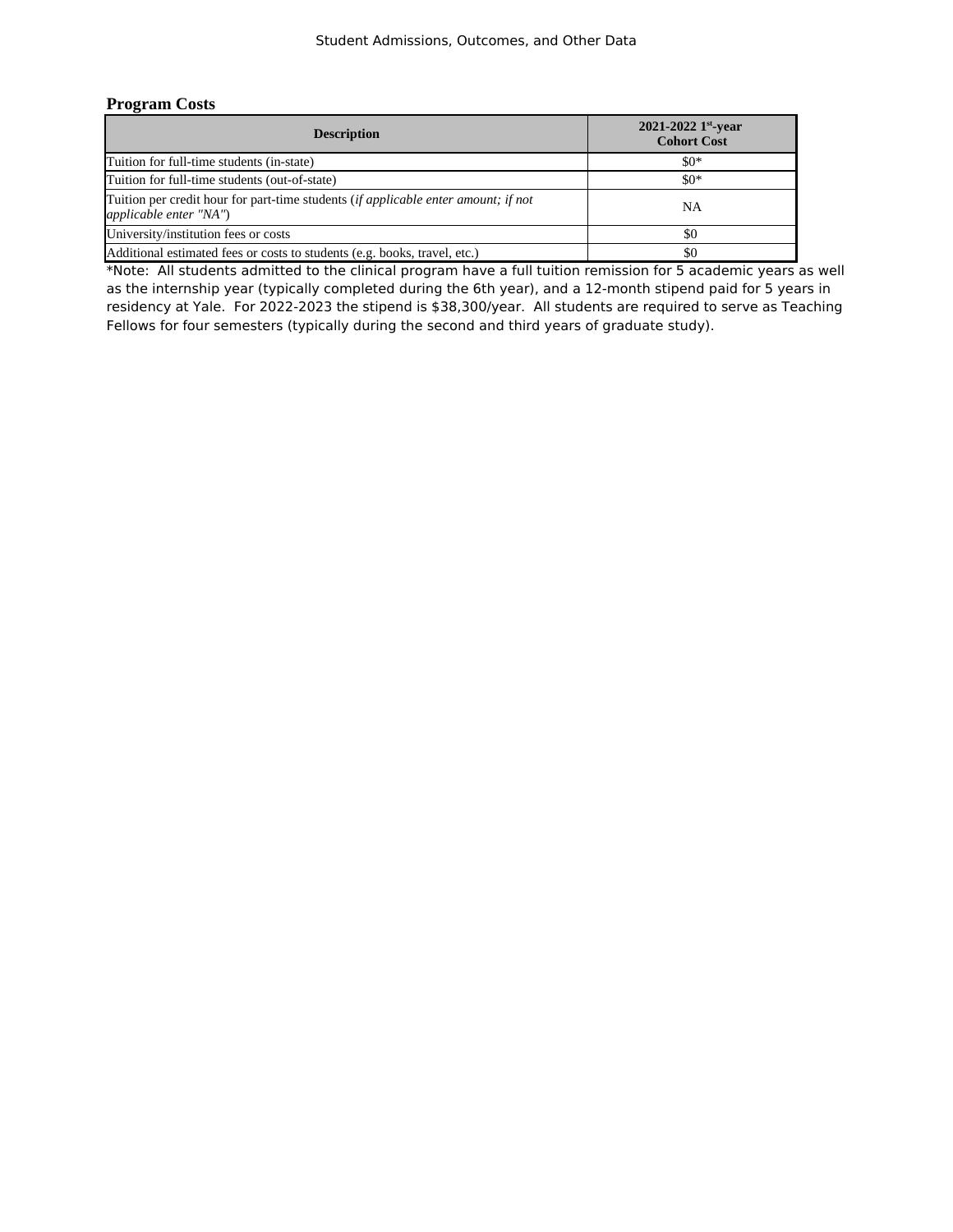## **Program Costs**

| <b>Description</b>                                                                                                  | 2021-2022 1st-year<br><b>Cohort Cost</b> |
|---------------------------------------------------------------------------------------------------------------------|------------------------------------------|
| Tuition for full-time students (in-state)                                                                           | $$0*$                                    |
| Tuition for full-time students (out-of-state)                                                                       | $\$0*$                                   |
| Tuition per credit hour for part-time students <i>(if applicable enter amount; if not</i><br>applicable enter "NA") | NΑ                                       |
| University/institution fees or costs                                                                                | \$0                                      |
| Additional estimated fees or costs to students (e.g. books, travel, etc.)                                           | \$0                                      |

\*Note: All students admitted to the clinical program have a full tuition remission for 5 academic years as well as the internship year (typically completed during the 6th year), and a 12-month stipend paid for 5 years in Fellows for four semesters (typically during the second and third years of graduate study). residency at Yale. For 2022-2023 the stipend is \$38,300/year. All students are required to serve as Teaching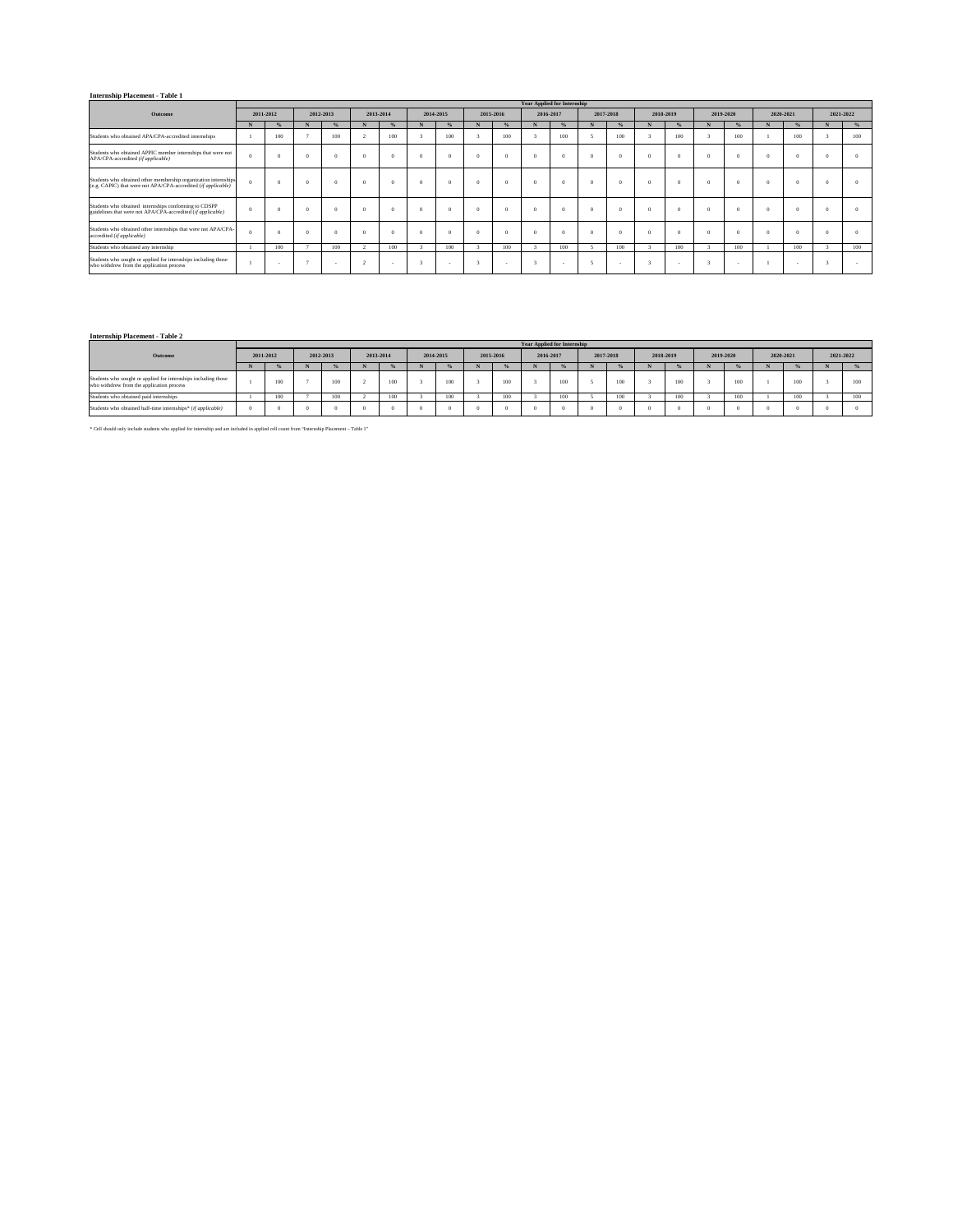## **Internship Placement - Table 1**

|                                                                                                                                  |                |               |   |           |          |           |   |           |  |           |   | <b>Year Applied for Internship</b> |           |          |   |           |           |          |           |           |     |
|----------------------------------------------------------------------------------------------------------------------------------|----------------|---------------|---|-----------|----------|-----------|---|-----------|--|-----------|---|------------------------------------|-----------|----------|---|-----------|-----------|----------|-----------|-----------|-----|
| Outcome                                                                                                                          |                | 2011-2012     |   | 2012-2013 |          | 2013-2014 |   | 2014-2015 |  | 2015-2016 |   | 2016-2017                          | 2017-2018 |          |   | 2018-2019 | 2019-2020 |          | 2020-2021 | 2021-2022 |     |
|                                                                                                                                  | N              | $\frac{9}{6}$ | N | %         | N        |           | N | %         |  | %         | N | %                                  |           |          | N | %         |           |          |           | N         |     |
| Students who obtained APA/CPA-accredited internships                                                                             |                | 100           |   | 100       |          | 100       |   | 100       |  | 100       |   | 100                                |           | 100      |   | 100       | 100       |          | 100       |           | 100 |
| Students who obtained APPIC member internships that were not<br>APA/CPA-accredited (if applicable)                               | $\Omega$       |               |   | $\theta$  | $\Omega$ |           |   | $\Omega$  |  |           |   | $\Omega$                           |           | $\theta$ |   | $\Omega$  | $\Omega$  |          |           |           |     |
| Students who obtained other membership organization internships<br>(e.g. CAPIC) that were not APA/CPA-accredited (if applicable) | $\Omega$       |               |   | $\Omega$  | $\Omega$ |           |   | $\Omega$  |  |           | £ | $\Omega$                           |           | $\Omega$ |   | $\Omega$  | $\Omega$  |          |           |           |     |
| Students who obtained internships conforming to CDSPP<br>guidelines that were not APA/CPA-accredited (if applicable)             | $\overline{0}$ |               |   | -O        | $\Omega$ |           |   | $\Omega$  |  |           |   | $\Omega$                           |           | $\theta$ |   | $\Omega$  | $\Omega$  |          |           |           |     |
| Students who obtained other internships that were not APA/CPA-<br>accredited (if applicable)                                     | $\theta$       |               |   | -O        | $\Omega$ |           |   | $\Omega$  |  |           |   | $\Omega$                           |           | - 0      |   | $\Omega$  | $\Omega$  | $\Omega$ |           |           |     |
| Students who obtained any internship                                                                                             |                | 100           |   | 100       | <b>B</b> | 100       |   | 100       |  | 100       |   | 100                                |           | 100      |   | 100       | 100       |          | 100       |           | 100 |
| Students who sought or applied for internships including those<br>who withdrew from the application process                      |                |               |   |           |          |           |   |           |  |           |   |                                    |           |          |   |           |           |          |           |           |     |

#### **Internship Placement - Table 2**

|                                                                                                             |           | <b>Year Applied for Internship</b> |           |     |           |             |           |               |           |     |           |               |           |     |           |               |           |     |           |     |           |     |
|-------------------------------------------------------------------------------------------------------------|-----------|------------------------------------|-----------|-----|-----------|-------------|-----------|---------------|-----------|-----|-----------|---------------|-----------|-----|-----------|---------------|-----------|-----|-----------|-----|-----------|-----|
| Outcome                                                                                                     | 2011-2012 |                                    | 2012-2013 |     | 2013-2014 |             | 2014-2015 |               | 2015-2016 |     | 2016-2017 |               | 2017-2018 |     | 2018-2019 |               | 2019-2020 |     | 2020-2021 |     | 2021-2022 |     |
|                                                                                                             |           |                                    |           | œ   | N         |             |           | $\frac{1}{2}$ |           |     |           | $\frac{9}{2}$ |           |     |           | $\frac{9}{2}$ |           |     |           |     | N         |     |
| Students who sought or applied for internships including those<br>who withdrew from the application process |           | 100                                |           | 100 |           | 3.01        |           | 100           |           | 100 |           | 100           |           | 100 |           | 100           |           | 100 |           | 100 |           | 100 |
| Students who obtained paid internships                                                                      |           | 100                                |           | 100 |           | 500<br>,,,, |           | 100           |           | 100 |           | 100           |           | 100 |           | 100           |           | 100 |           | 100 |           | 100 |
| Students who obtained half-time intemships* (if applicable)                                                 |           |                                    |           |     |           |             |           |               |           |     |           |               |           |     |           |               |           |     |           |     |           |     |

 $^\ast$  Cell should only include students who applied for internship and are included in applied cell count from "Internship Placement – Table 1"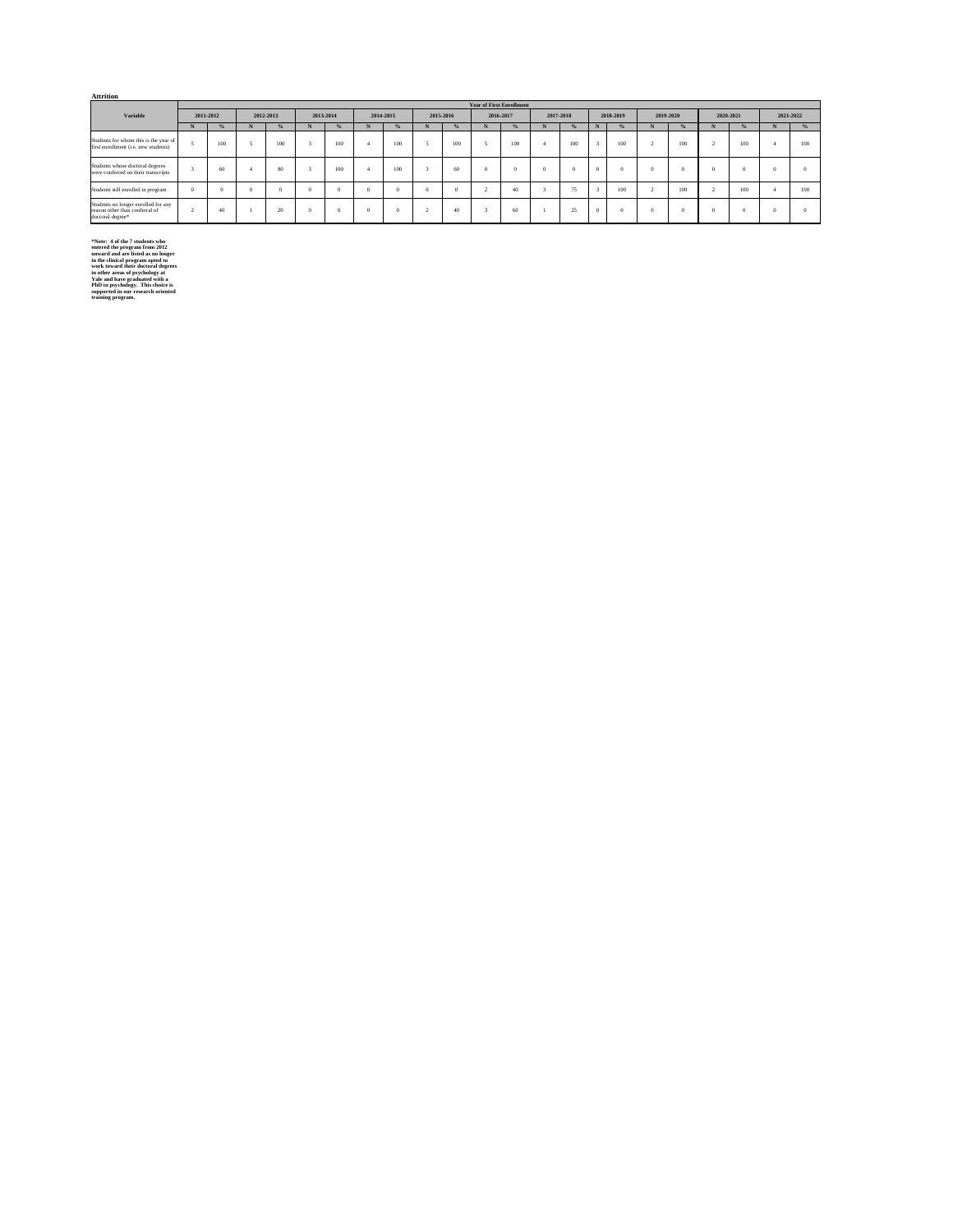| <b>Attrition</b>                                                                          |           |     |           |          |           |     |           |          |        |           |                                 |           |              |           |        |               |           |          |           |          |           |          |
|-------------------------------------------------------------------------------------------|-----------|-----|-----------|----------|-----------|-----|-----------|----------|--------|-----------|---------------------------------|-----------|--------------|-----------|--------|---------------|-----------|----------|-----------|----------|-----------|----------|
|                                                                                           |           |     |           |          |           |     |           |          |        |           | <b>Year of First Enrollment</b> |           |              |           |        |               |           |          |           |          |           |          |
| Variable                                                                                  | 2011-2012 |     | 2012-2013 |          | 2013-2014 |     | 2014-2015 |          |        | 2015-2016 |                                 | 2016-2017 |              | 2017-2018 |        | 2018-2019     | 2019-2020 |          | 2020-2021 |          | 2021-2022 |          |
|                                                                                           | N         | %   |           | %        | N         | %   | N         | %        |        | %         | N                               | %         |              | %         | N      | $\frac{9}{6}$ |           | %        | N         | %        | N         | %        |
| Students for whom this is the year of<br>first enrollment (i.e. new students)             |           | 100 |           | 100      |           | 100 |           | 100      |        | 100       |                                 | 100       | $\mathbf{A}$ | 100       |        | 100           | z         | 100      |           | 100      | $\Delta$  | 100      |
| Students whose doctoral degrees<br>were conferred on their transcripts                    |           | 60  |           | 80       |           | 100 |           | 100      |        | 60        | $\Omega$                        |           |              |           | n      | $\Omega$      | -O        |          |           | -63      |           |          |
| Students still enrolled in program                                                        | $\Omega$  | n   | $\Omega$  | $\Omega$ | n         |     | $\Omega$  |          |        |           |                                 | 40        |              | 75        | $\sim$ | 100           |           | 100      |           | 100      | $\Delta$  | 100      |
| Students no longer enrolled for any<br>reason other than conferral of<br>doctoral degree* |           | 40  |           | 20       | $\Omega$  |     | $\Omega$  | $\Omega$ | $\sim$ | 40        | $\sim$                          | 60        |              | 25        | 0      | $\theta$      | -0        | $\Omega$ | $\Omega$  | $\Omega$ |           | $\Omega$ |

\*Note: 4 of the 7 students who<br>entered the program from 2012<br>entward dat are listed as no longer<br>in the clinical program opted to<br>work toward their doctoral degrees<br>in other areas of psychology at<br>Yale and have graduated w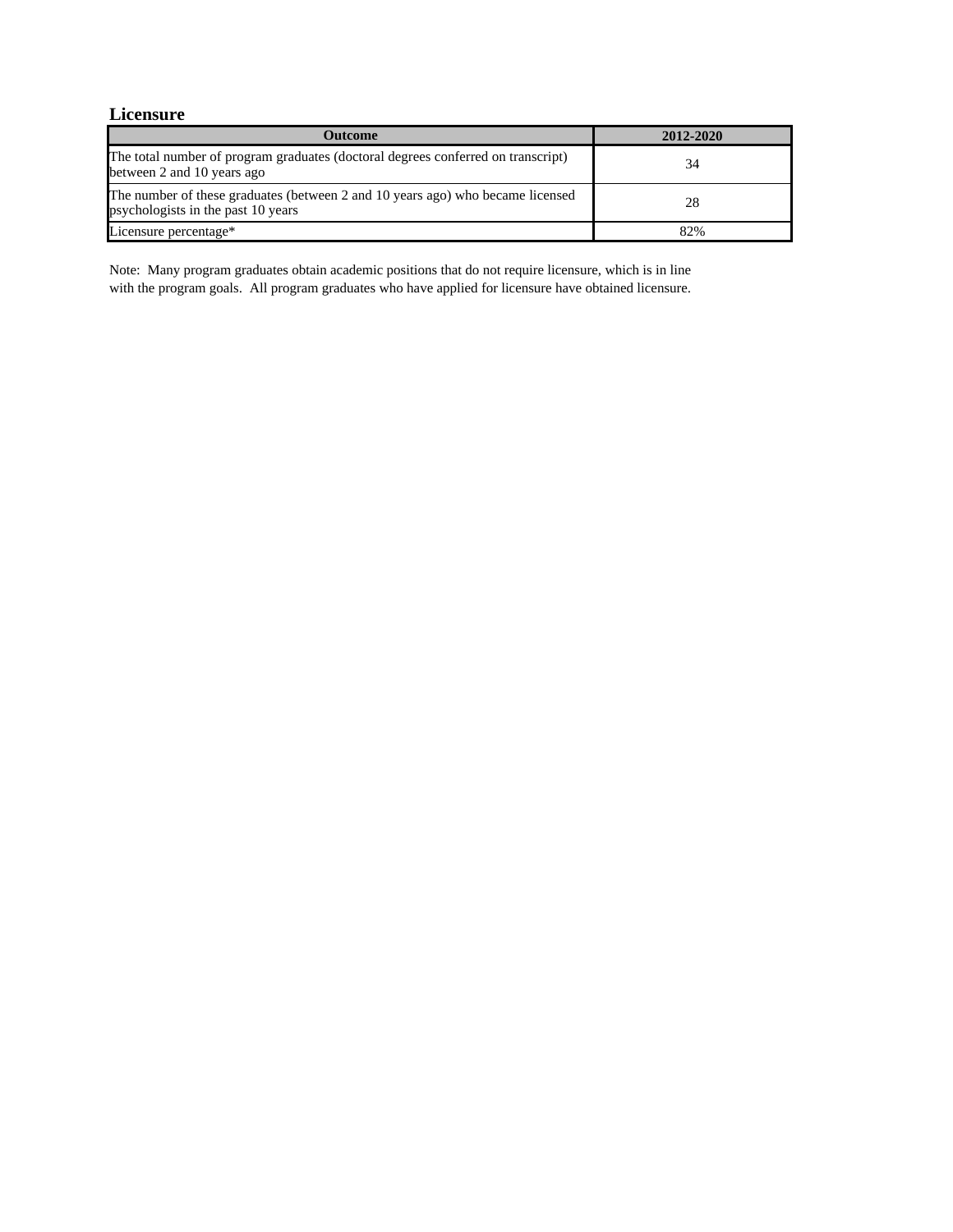# **Licensure**

| <b>Outcome</b>                                                                                                       | 2012-2020 |
|----------------------------------------------------------------------------------------------------------------------|-----------|
| The total number of program graduates (doctoral degrees conferred on transcript)<br>between 2 and 10 years ago       | 34        |
| The number of these graduates (between 2 and 10 years ago) who became licensed<br>psychologists in the past 10 years | 28        |
| Licensure percentage*                                                                                                | 82%       |

Note: Many program graduates obtain academic positions that do not require licensure, which is in line with the program goals. All program graduates who have applied for licensure have obtained licensure.